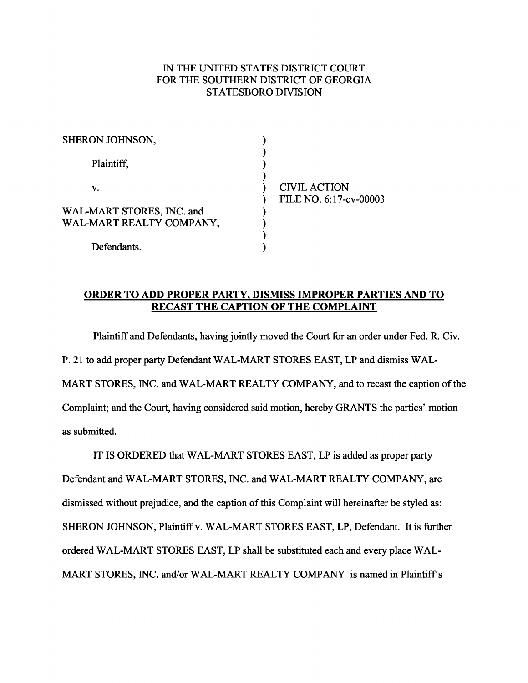## IN THE UNITED STATES DISTRICT COURT FOR THE SOUTHERN DISTRICT OF GEORGIA STATESBORO DIVISION

| SHERON JOHNSON,           |                        |
|---------------------------|------------------------|
| Plaintiff.                |                        |
| v.                        | <b>CIVIL ACTION</b>    |
|                           | FILE NO. 6:17-cv-00003 |
| WAL-MART STORES, INC. and |                        |
| WAL-MART REALTY COMPANY,  |                        |
|                           |                        |
| Defendants.               |                        |

## **ORDER TO ADD PROPER PARTY, DISMISS IMPROPER PARTIES AND TO RECAST THE CAPTION OF THE COMPLAINT**

Plaintiff and Defendants, having jointly moved the Court for an order under Fed. R. Civ. P. 21 to add proper party Defendant WAL-MART STORES EAST, LP and dismiss WAL-MART STORES, INC. and WAL-MART REALTY COMPANY, and to recast the caption of the Complaint; and the Court, having considered said motion, hereby GRANTS the parties' motion as submitted.

IT IS ORDERED that WAL-MART STORES EAST, LP is added as proper party Defendant and WAL-MART STORES, INC. and WAL-MART REALTY COMPANY, are dismissed without prejudice, and the caption of this Complaint will hereinafter be styled as: SHERON JOHNSON, Plaintiff v. WAL-MART STORES EAST, LP, Defendant. It is further ordered WAL-MART STORES EAST, LP shall be substituted each and every place WAL-MART STORES, INC. and/or WAL-MART REALTY COMPANY is named in Plaintiff's